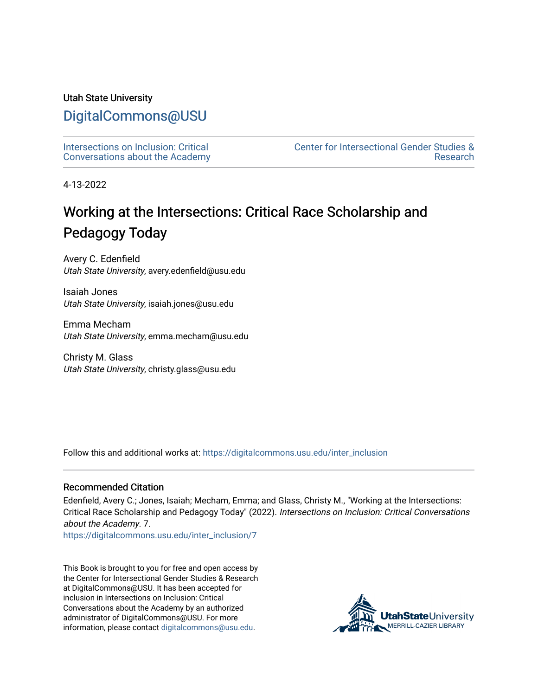#### Utah State University

### [DigitalCommons@USU](https://digitalcommons.usu.edu/)

[Intersections on Inclusion: Critical](https://digitalcommons.usu.edu/inter_inclusion) [Conversations about the Academy](https://digitalcommons.usu.edu/inter_inclusion)  [Center for Intersectional Gender Studies &](https://digitalcommons.usu.edu/intersections)  [Research](https://digitalcommons.usu.edu/intersections) 

4-13-2022

# Working at the Intersections: Critical Race Scholarship and Pedagogy Today

Avery C. Edenfield Utah State University, avery.edenfield@usu.edu

Isaiah Jones Utah State University, isaiah.jones@usu.edu

Emma Mecham Utah State University, emma.mecham@usu.edu

Christy M. Glass Utah State University, christy.glass@usu.edu

Follow this and additional works at: [https://digitalcommons.usu.edu/inter\\_inclusion](https://digitalcommons.usu.edu/inter_inclusion?utm_source=digitalcommons.usu.edu%2Finter_inclusion%2F7&utm_medium=PDF&utm_campaign=PDFCoverPages) 

#### Recommended Citation

Edenfield, Avery C.; Jones, Isaiah; Mecham, Emma; and Glass, Christy M., "Working at the Intersections: Critical Race Scholarship and Pedagogy Today" (2022). Intersections on Inclusion: Critical Conversations about the Academy. 7.

[https://digitalcommons.usu.edu/inter\\_inclusion/7](https://digitalcommons.usu.edu/inter_inclusion/7?utm_source=digitalcommons.usu.edu%2Finter_inclusion%2F7&utm_medium=PDF&utm_campaign=PDFCoverPages) 

This Book is brought to you for free and open access by the Center for Intersectional Gender Studies & Research at DigitalCommons@USU. It has been accepted for inclusion in Intersections on Inclusion: Critical Conversations about the Academy by an authorized administrator of DigitalCommons@USU. For more information, please contact [digitalcommons@usu.edu](mailto:digitalcommons@usu.edu).

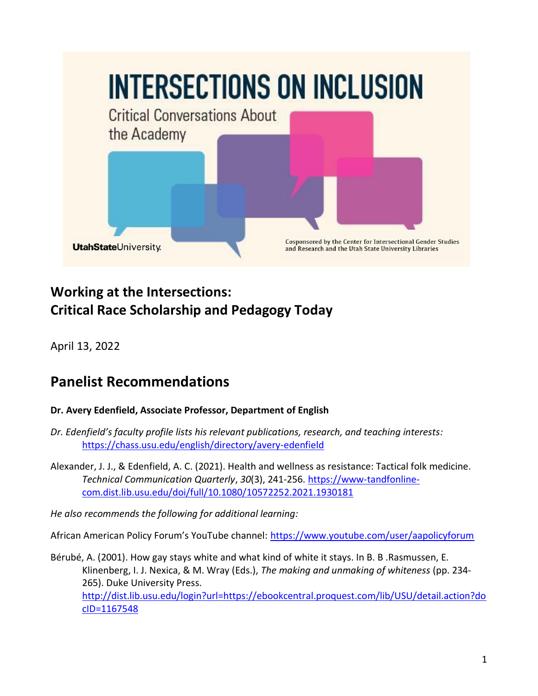

# **Working at the Intersections: Critical Race Scholarship and Pedagogy Today**

April 13, 2022

# **Panelist Recommendations**

### **Dr. Avery Edenfield, Associate Professor, Department of English**

- *Dr. Edenfield's faculty profile lists his relevant publications, research, and teaching interests:* <https://chass.usu.edu/english/directory/avery-edenfield>
- Alexander, J. J., & Edenfield, A. C. (2021). Health and wellness as resistance: Tactical folk medicine. *Technical Communication Quarterly*, *30*(3), 241-256. [https://www-tandfonline](https://www-tandfonline-com.dist.lib.usu.edu/doi/full/10.1080/10572252.2021.1930181)[com.dist.lib.usu.edu/doi/full/10.1080/10572252.2021.1930181](https://www-tandfonline-com.dist.lib.usu.edu/doi/full/10.1080/10572252.2021.1930181)

*He also recommends the following for additional learning:*

African American Policy Forum's YouTube channel: <https://www.youtube.com/user/aapolicyforum>

Bérubé, A. (2001). How gay stays white and what kind of white it stays. In B. B .Rasmussen, E. Klinenberg, I. J. Nexica, & M. Wray (Eds.), *The making and unmaking of whiteness* (pp. 234- 265). Duke University Press. [http://dist.lib.usu.edu/login?url=https://ebookcentral.proquest.com/lib/USU/detail.action?do](http://dist.lib.usu.edu/login?url=https://ebookcentral.proquest.com/lib/USU/detail.action?docID=1167548) [cID=1167548](http://dist.lib.usu.edu/login?url=https://ebookcentral.proquest.com/lib/USU/detail.action?docID=1167548)